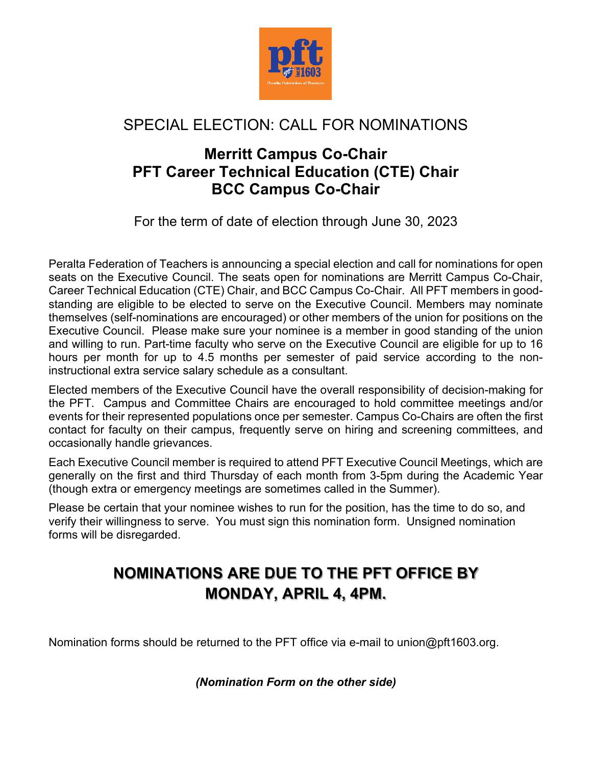

## SPECIAL ELECTION: CALL FOR NOMINATIONS

## **Merritt Campus Co-Chair PFT Career Technical Education (CTE) Chair BCC Campus Co-Chair**

For the term of date of election through June 30, 2023

Peralta Federation of Teachers is announcing a special election and call for nominations for open seats on the Executive Council. The seats open for nominations are Merritt Campus Co-Chair, Career Technical Education (CTE) Chair, and BCC Campus Co-Chair. All PFT members in goodstanding are eligible to be elected to serve on the Executive Council. Members may nominate themselves (self-nominations are encouraged) or other members of the union for positions on the Executive Council. Please make sure your nominee is a member in good standing of the union and willing to run. Part-time faculty who serve on the Executive Council are eligible for up to 16 hours per month for up to 4.5 months per semester of paid service according to the noninstructional extra service salary schedule as a consultant.

Elected members of the Executive Council have the overall responsibility of decision-making for the PFT. Campus and Committee Chairs are encouraged to hold committee meetings and/or events for their represented populations once per semester. Campus Co-Chairs are often the first contact for faculty on their campus, frequently serve on hiring and screening committees, and occasionally handle grievances.

Each Executive Council member is required to attend PFT Executive Council Meetings, which are generally on the first and third Thursday of each month from 3-5pm during the Academic Year (though extra or emergency meetings are sometimes called in the Summer).

Please be certain that your nominee wishes to run for the position, has the time to do so, and verify their willingness to serve. You must sign this nomination form. Unsigned nomination forms will be disregarded.

## **NOMINATIONS ARE DUE TO THE PFT OFFICE BY MONDAY, APRIL 4, 4PM.**

Nomination forms should be returned to the PFT office via e-mail to union@pft1603.org.

*(Nomination Form on the other side)*